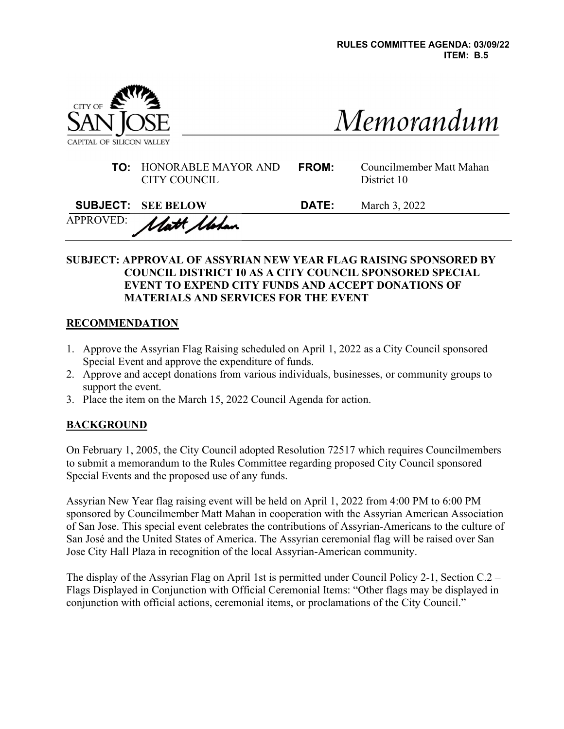

| Memorandum |  |
|------------|--|
|            |  |

| <b>TO:</b> HONORABLE MAYOR AND | <b>FROM</b> |
|--------------------------------|-------------|
| CITY COUNCIL                   |             |

| Councilmember Matt Mahan |
|--------------------------|
| District 10              |

| <b>SUBJECT: SEE BELOW</b> | <b>DATE:</b> | March 3, 2022 |
|---------------------------|--------------|---------------|
| APPROVED: Matt Motan      |              |               |

### SUBJECT: APPROVAL OF ASSYRIAN NEW YEAR FLAG RAISING SPONSORED BY COUNCIL DISTRICT 10 AS A CITY COUNCIL SPONSORED SPECIAL EVENT TO EXPEND CITY FUNDS AND ACCEPT DONATIONS OF MATERIALS AND SERVICES FOR THE EVENT

## **RECOMMENDATION**

- 1. Approve the Assyrian Flag Raising scheduled on April 1, 2022 as a City Council sponsored Special Event and approve the expenditure of funds.
- 2. Approve and accept donations from various individuals, businesses, or community groups to support the event.
- 3. Place the item on the March 15, 2022 Council Agenda for action.

## **BACKGROUND**

On February 1, 2005, the City Council adopted Resolution 72517 which requires Councilmembers to submit a memorandum to the Rules Committee regarding proposed City Council sponsored Special Events and the proposed use of any funds.

Assyrian New Year flag raising event will be held on April 1, 2022 from 4:00 PM to 6:00 PM sponsored by Councilmember Matt Mahan in cooperation with the Assyrian American Association of San Jose. This special event celebrates the contributions of Assyrian-Americans to the culture of San José and the United States of America. The Assyrian ceremonial flag will be raised over San Jose City Hall Plaza in recognition of the local Assyrian-American community.

The display of the Assyrian Flag on April 1st is permitted under Council Policy 2-1, Section C.2 – Flags Displayed in Conjunction with Official Ceremonial Items: "Other flags may be displayed in conjunction with official actions, ceremonial items, or proclamations of the City Council."